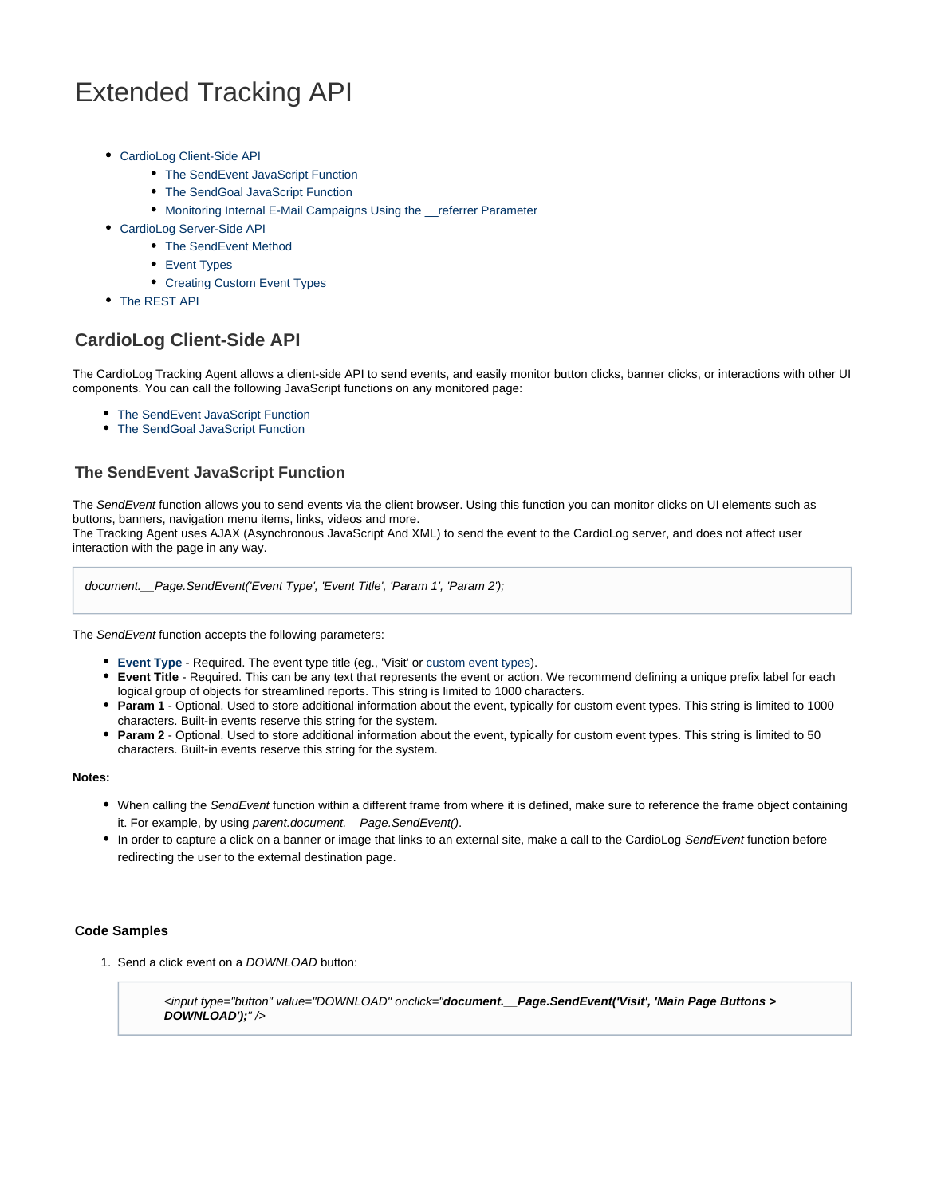# <span id="page-0-3"></span>Extended Tracking API

- [CardioLog Client-Side API](#page-0-0)
	- [The SendEvent JavaScript Function](#page-0-1)
	- [The SendGoal JavaScript Function](#page-2-0)
	- [Monitoring Internal E-Mail Campaigns Using the \\_\\_referrer Parameter](#page-4-0)
- [CardioLog Server-Side API](#page-4-1)
	- [The SendEvent Method](#page-4-2)
	- [Event Types](#page-5-0)
	- [Creating Custom Event Types](#page-6-0)
- [The REST API](#page-7-0)

# <span id="page-0-0"></span>**CardioLog Client-Side API**

The CardioLog Tracking Agent allows a client-side API to send events, and easily monitor button clicks, banner clicks, or interactions with other UI components. You can call the following JavaScript functions on any monitored page:

- [The SendEvent JavaScript Function](#page-0-2)
- [The SendGoal JavaScript Function](#page-2-1)

# <span id="page-0-2"></span><span id="page-0-1"></span>**The SendEvent JavaScript Function**

The SendEvent function allows you to send events via the client browser. Using this function you can monitor clicks on UI elements such as buttons, banners, navigation menu items, links, videos and more.

The Tracking Agent uses AJAX (Asynchronous JavaScript And XML) to send the event to the CardioLog server, and does not affect user interaction with the page in any way.

document.\_\_Page.SendEvent('Event Type', 'Event Title', 'Param 1', 'Param 2');

The SendEvent function accepts the following parameters:

- **[Event Type](#page-5-1)** Required. The event type title (eg., 'Visit' or [custom event types](#page-6-1)).
- **Event Title** Required. This can be any text that represents the event or action. We recommend defining a unique prefix label for each logical group of objects for streamlined reports. This string is limited to 1000 characters.
- **Param 1** Optional. Used to store additional information about the event, typically for custom event types. This string is limited to 1000 characters. Built-in events reserve this string for the system.
- **Param 2** Optional. Used to store additional information about the event, typically for custom event types. This string is limited to 50 characters. Built-in events reserve this string for the system.

#### **Notes:**

- . When calling the SendEvent function within a different frame from where it is defined, make sure to reference the frame object containing it. For example, by using parent.document. Page.SendEvent().
- In order to capture a click on a banner or image that links to an external site, make a call to the CardioLog SendEvent function before redirecting the user to the external destination page.

#### **Code Samples**

1. Send a click event on a DOWNLOAD button:

<input type="button" value="DOWNLOAD" onclick="**document.\_\_Page.SendEvent('Visit', 'Main Page Buttons > DOWNLOAD');**" />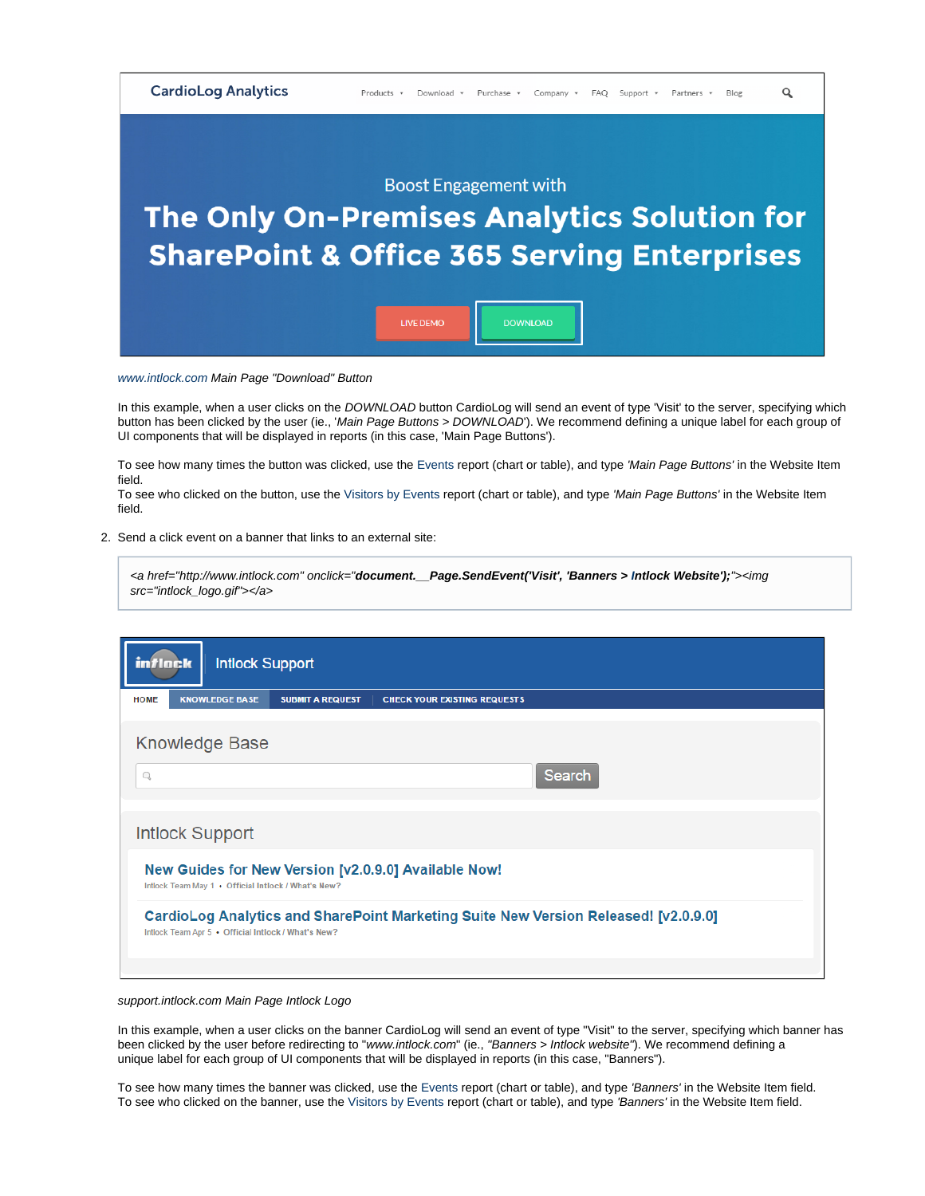

#### [www.intlock.com](http://www.intlock.com/) Main Page "Download" Button

In this example, when a user clicks on the DOWNLOAD button CardioLog will send an event of type 'Visit' to the server, specifying which button has been clicked by the user (ie., 'Main Page Buttons > DOWNLOAD'). We recommend defining a unique label for each group of UI components that will be displayed in reports (in this case, 'Main Page Buttons').

To see how many times the button was clicked, use the [Events](https://kb.intlock.com/display/Support/Events) report (chart or table), and type 'Main Page Buttons' in the Website Item field.

To see who clicked on the button, use the [Visitors by Events](#page-0-3) report (chart or table), and type 'Main Page Buttons' in the Website Item field.

2. Send a click event on a banner that links to an external site:

| <a href="http://www.intlock.com" onclick="&lt;b&gt;document.__Page.SendEvent('Visit', 'Banners &gt; Intlock Website');&lt;/b&gt;"><img< th=""><th></th><th></th></img<></a> |  |  |
|-----------------------------------------------------------------------------------------------------------------------------------------------------------------------------|--|--|
| src="intlock_logo.gif">                                                                                                                                                     |  |  |

| <b>Intlock Support</b><br>in <i>t</i> lack                                                                                                 |  |  |  |  |
|--------------------------------------------------------------------------------------------------------------------------------------------|--|--|--|--|
| <b>KNOWLEDGE BASE</b><br><b>HOME</b><br><b>SUBMIT A REQUEST</b><br><b>CHECK YOUR EXISTING REQUESTS</b>                                     |  |  |  |  |
| <b>Knowledge Base</b>                                                                                                                      |  |  |  |  |
| Search<br>Q                                                                                                                                |  |  |  |  |
| <b>Intlock Support</b>                                                                                                                     |  |  |  |  |
| New Guides for New Version [v2.0.9.0] Available Now!<br>Intlock Team May 1 . Official Intlock / What's New?                                |  |  |  |  |
| CardioLog Analytics and SharePoint Marketing Suite New Version Released! [v2.0.9.0]<br>Intlock Team Apr 5 . Official Intlock / What's New? |  |  |  |  |
|                                                                                                                                            |  |  |  |  |

#### support.intlock.com Main Page Intlock Logo

In this example, when a user clicks on the banner CardioLog will send an event of type "Visit" to the server, specifying which banner has been clicked by the user before redirecting to "www.intlock.com" (ie., "Banners > Intlock website"). We recommend defining a unique label for each group of UI components that will be displayed in reports (in this case, "Banners").

To see how many times the banner was clicked, use the [Events](https://kb.intlock.com/display/Support/Events) report (chart or table), and type 'Banners' in the Website Item field. To see who clicked on the banner, use the [Visitors by Events](#page-0-3) report (chart or table), and type 'Banners' in the Website Item field.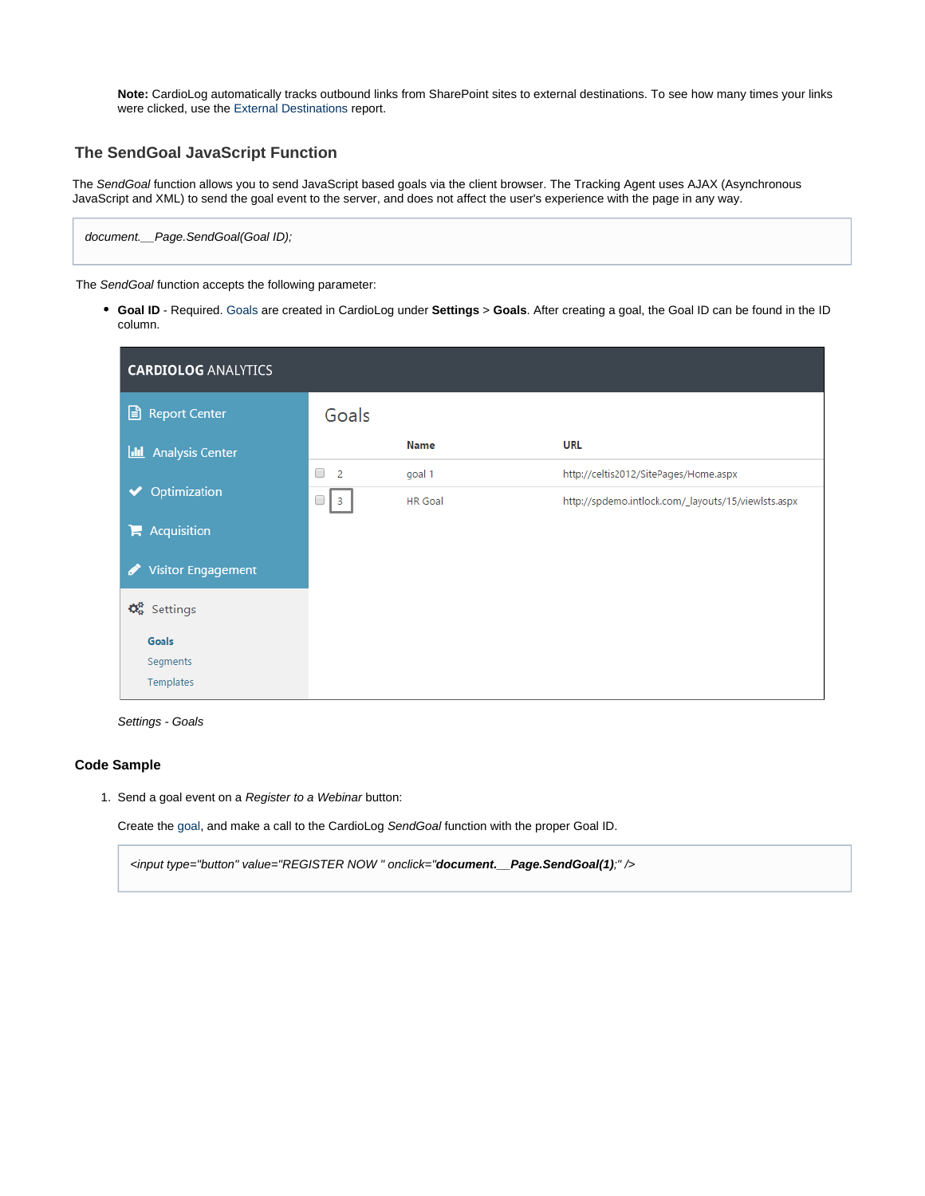**Note:** CardioLog automatically tracks outbound links from SharePoint sites to external destinations. To see how many times your links were clicked, use the [External Destinations](https://kb.intlock.com/display/Support/External+Destinations) report.

# <span id="page-2-1"></span><span id="page-2-0"></span>**The SendGoal JavaScript Function**

The SendGoal function allows you to send JavaScript based goals via the client browser. The Tracking Agent uses AJAX (Asynchronous JavaScript and XML) to send the goal event to the server, and does not affect the user's experience with the page in any way.

document.\_\_Page.SendGoal(Goal ID);

The SendGoal function accepts the following parameter:

**Goal ID** - Required. [Goals](https://kb.intlock.com/display/Support/Goals) are created in CardioLog under **Settings** > **Goals**. After creating a goal, the Goal ID can be found in the ID column.

| <b>CARDIOLOG ANALYTICS</b>                         |                     |                |                                                     |  |  |  |
|----------------------------------------------------|---------------------|----------------|-----------------------------------------------------|--|--|--|
| Report Center                                      | Goals               |                |                                                     |  |  |  |
| <b>Analysis Center</b><br>Ш                        |                     | <b>Name</b>    | <b>URL</b>                                          |  |  |  |
|                                                    | □<br>$\overline{2}$ | goal 1         | http://celtis2012/SitePages/Home.aspx               |  |  |  |
| Optimization                                       | □<br>$\vert$ 3      | <b>HR</b> Goal | http://spdemo.intlock.com/_layouts/15/viewlsts.aspx |  |  |  |
| $\blacktriangleright$ Acquisition                  |                     |                |                                                     |  |  |  |
| <b>Visitor Engagement</b>                          |                     |                |                                                     |  |  |  |
| $\mathbf{\Phi}_{\mathbf{8}}^{\mathbf{8}}$ Settings |                     |                |                                                     |  |  |  |
| Goals                                              |                     |                |                                                     |  |  |  |
| Segments                                           |                     |                |                                                     |  |  |  |
| Templates                                          |                     |                |                                                     |  |  |  |



#### **Code Sample**

1. Send a goal event on a Register to a Webinar button:

Create the [goal,](https://kb.intlock.com/display/Support/Goals) and make a call to the CardioLog SendGoal function with the proper Goal ID.

<input type="button" value="REGISTER NOW " onclick="**document.\_\_Page.SendGoal(1)**;" />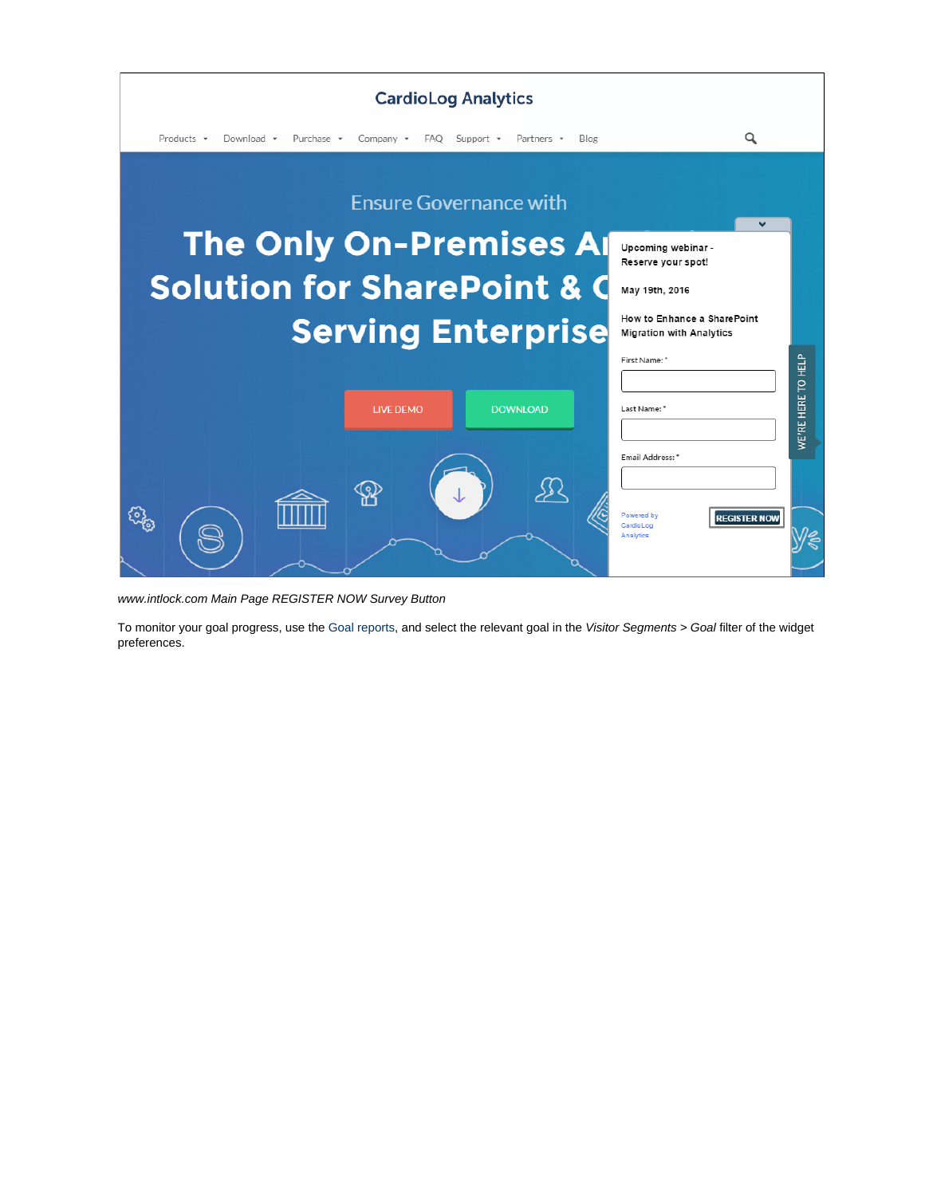

www.intlock.com Main Page REGISTER NOW Survey Button

To monitor your goal progress, use the Goal [reports](https://kb.intlock.com/display/Support/Goal+Reports), and select the relevant goal in the Visitor Segments > Goal filter of the widget preferences.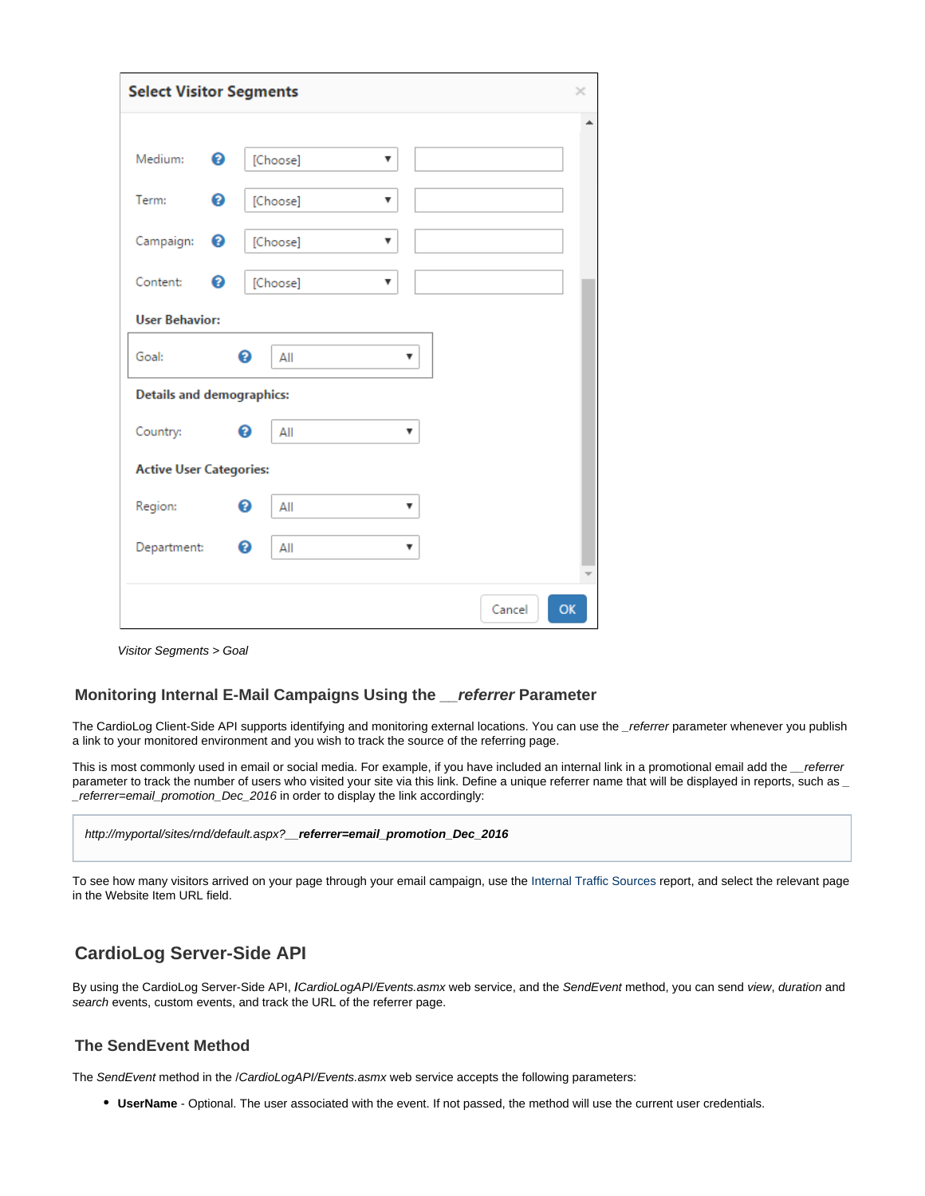| <b>Select Visitor Segments</b>   |   |          |   |   |        | $\times$ |
|----------------------------------|---|----------|---|---|--------|----------|
|                                  |   |          |   |   |        | ▲        |
| Medium:                          | ℯ | [Choose] | ▼ |   |        |          |
| Term:                            | ℯ | [Choose] | ▼ |   |        |          |
| Campaign:                        | ℯ | [Choose] | ▼ |   |        |          |
| Content:                         | ℯ | [Choose] | ▼ |   |        |          |
| <b>User Behavior:</b>            |   |          |   |   |        |          |
| Goal:                            | ❸ | All      |   | ▼ |        |          |
| <b>Details and demographics:</b> |   |          |   |   |        |          |
| Country:                         | ℯ | All      |   | ▼ |        |          |
| <b>Active User Categories:</b>   |   |          |   |   |        |          |
| Region:                          | 0 | All      |   | ▼ |        |          |
| Department:                      | 0 | All      |   | ▼ |        |          |
|                                  |   |          |   |   | Cancel | OK       |

Visitor Segments > Goal

#### <span id="page-4-0"></span>**Monitoring Internal E-Mail Campaigns Using the \_\_referrer Parameter**

The CardioLog Client-Side API supports identifying and monitoring external locations. You can use the referrer parameter whenever you publish a link to your monitored environment and you wish to track the source of the referring page.

This is most commonly used in email or social media. For example, if you have included an internal link in a promotional email add the *\_\_referrer* parameter to track the number of users who visited your site via this link. Define a unique referrer name that will be displayed in reports, such as \_ \_referrer=email\_promotion\_Dec\_2016 in order to display the link accordingly:

http://myportal/sites/rnd/default.aspx?**\_\_referrer=email\_promotion\_Dec\_2016**

To see how many visitors arrived on your page through your email campaign, use the [Internal Traffic Sources](https://kb.intlock.com/display/Support/Internal+Traffic+Sources) report, and select the relevant page in the Website Item URL field.

# <span id="page-4-1"></span>**CardioLog Server-Side API**

By using the CardioLog Server-Side API, **/**CardioLogAPI/Events.asmx web service, and the SendEvent method, you can send view, duration and search events, custom events, and track the URL of the referrer page.

## <span id="page-4-3"></span><span id="page-4-2"></span>**The SendEvent Method**

The SendEvent method in the /CardioLogAPI/Events.asmx web service accepts the following parameters:

**UserName** - Optional. The user associated with the event. If not passed, the method will use the current user credentials.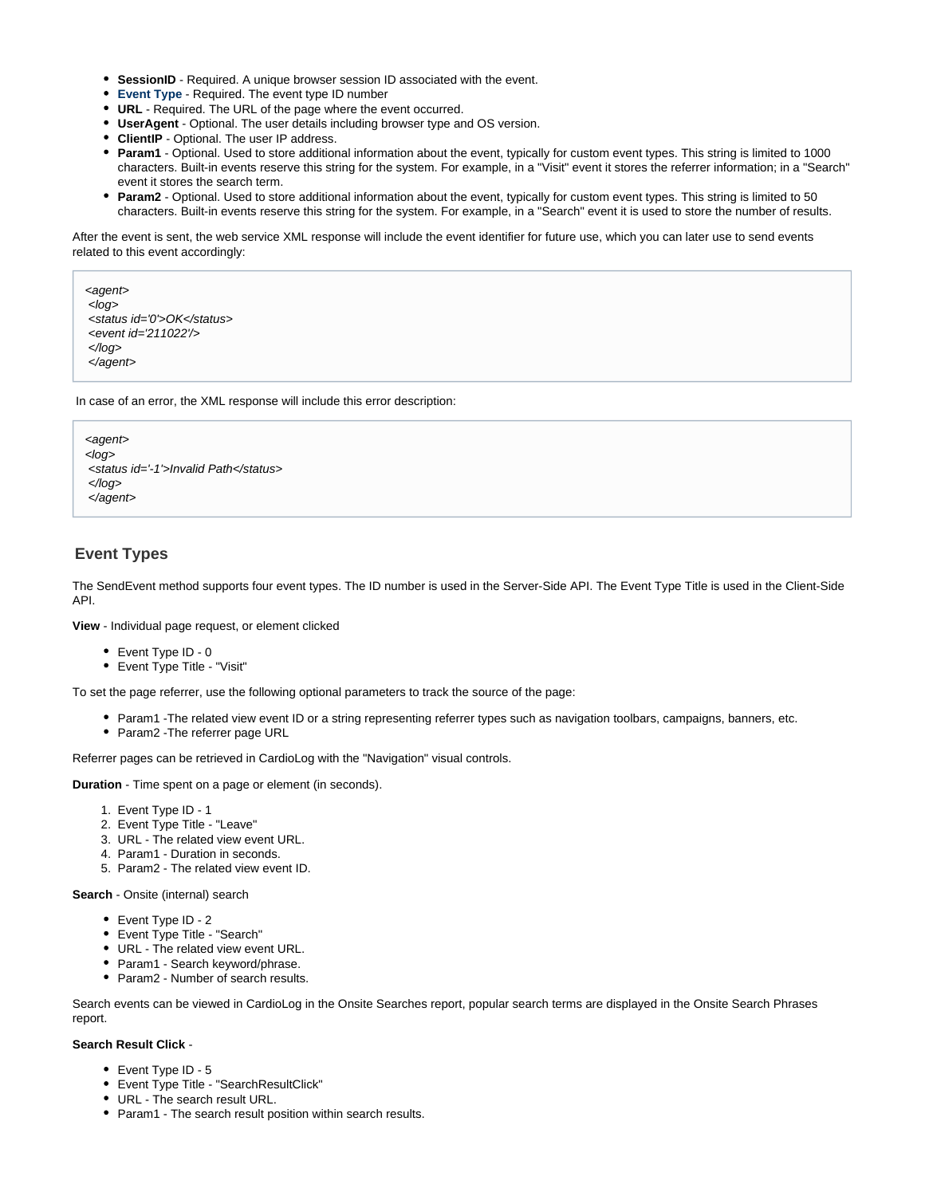- **SessionID** Required. A unique browser session ID associated with the event.
- **[Event Type](#page-5-1)** Required. The event type ID number
- **URL** Required. The URL of the page where the event occurred.
- **UserAgent** Optional. The user details including browser type and OS version.
- **ClientIP** Optional. The user IP address.
- **Param1** Optional. Used to store additional information about the event, typically for custom event types. This string is limited to 1000 characters. Built-in events reserve this string for the system. For example, in a "Visit" event it stores the referrer information; in a "Search" event it stores the search term.
- **Param2** Optional. Used to store additional information about the event, typically for custom event types. This string is limited to 50 characters. Built-in events reserve this string for the system. For example, in a "Search" event it is used to store the number of results.

After the event is sent, the web service XML response will include the event identifier for future use, which you can later use to send events related to this event accordingly:

```
<agent>
<log> <status id='0'>OK</status>
 <event id='211022'/>
</log>
 </agent>
```
In case of an error, the XML response will include this error description:

```
<agent>
<log>
 <status id='-1'>Invalid Path</status>
</log>
 </agent>
```
## <span id="page-5-1"></span><span id="page-5-0"></span>**Event Types**

The SendEvent method supports four event types. The ID number is used in the Server-Side API. The Event Type Title is used in the Client-Side API.

**View** - Individual page request, or element clicked

- Event Type ID 0
- Event Type Title "Visit"

To set the page referrer, use the following optional parameters to track the source of the page:

- Param1 -The related view event ID or a string representing referrer types such as navigation toolbars, campaigns, banners, etc.
- Param2 The referrer page URL

Referrer pages can be retrieved in CardioLog with the "Navigation" visual controls.

**Duration** - Time spent on a page or element (in seconds).

- 1. Event Type ID 1
- 2. Event Type Title "Leave"
- 3. URL The related view event URL.
- 4. Param1 Duration in seconds.
- 5. Param2 The related view event ID.

**Search** - Onsite (internal) search

- Event Type ID 2
- Event Type Title "Search"
- URL The related view event URL.
- Param1 Search keyword/phrase.
- Param2 Number of search results.

Search events can be viewed in CardioLog in the Onsite Searches report, popular search terms are displayed in the Onsite Search Phrases report.

#### **Search Result Click** -

- Event Type ID 5
- Event Type Title "SearchResultClick"
- URL The search result URL.
- Param1 The search result position within search results.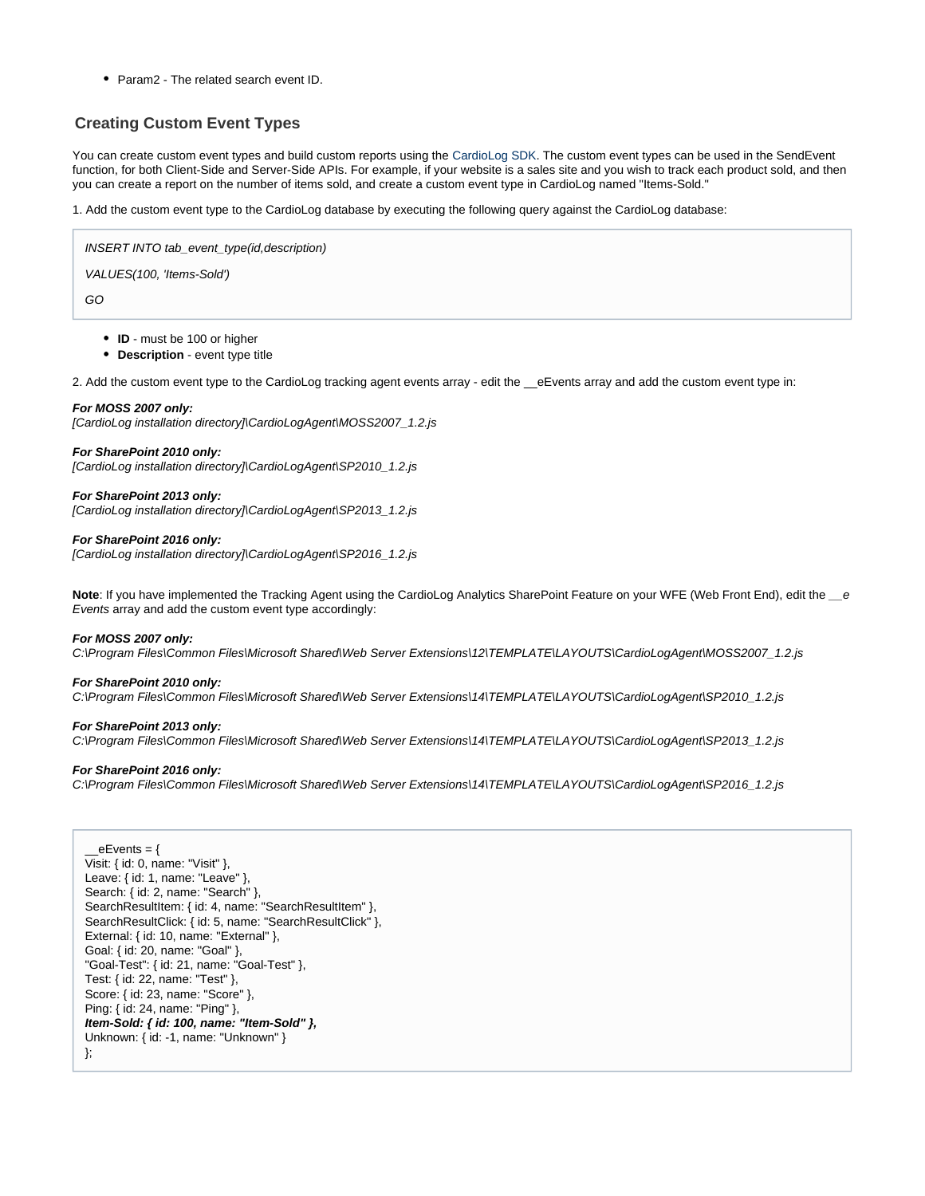• Param2 - The related search event ID.

# <span id="page-6-1"></span><span id="page-6-0"></span>**Creating Custom Event Types**

You can create custom event types and build custom reports using the [CardioLog SDK](https://kb.intlock.com/display/Support/The+CardioLog+SDK). The custom event types can be used in the SendEvent function, for both Client-Side and Server-Side APIs. For example, if your website is a sales site and you wish to track each product sold, and then you can create a report on the number of items sold, and create a custom event type in CardioLog named "Items-Sold."

1. Add the custom event type to the CardioLog database by executing the following query against the CardioLog database:

INSERT INTO tab\_event\_type(id,description)

VALUES(100, 'Items-Sold')

GO

- **ID** must be 100 or higher
- **Description** event type title

2. Add the custom event type to the CardioLog tracking agent events array - edit the eEvents array and add the custom event type in:

#### **For MOSS 2007 only:**

[CardioLog installation directory]\CardioLogAgent\MOSS2007\_1.2.js

**For SharePoint 2010 only:** [CardioLog installation directory]\CardioLogAgent\SP2010\_1.2.js

**For SharePoint 2013 only:** [CardioLog installation directory]\CardioLogAgent\SP2013\_1.2.js

**For SharePoint 2016 only:**

[CardioLog installation directory]\CardioLogAgent\SP2016\_1.2.js

Note: If you have implemented the Tracking Agent using the CardioLog Analytics SharePoint Feature on your WFE (Web Front End), edit the e Events array and add the custom event type accordingly:

#### **For MOSS 2007 only:**

C:\Program Files\Common Files\Microsoft Shared\Web Server Extensions\12\TEMPLATE\LAYOUTS\CardioLogAgent\MOSS2007\_1.2.js

#### **For SharePoint 2010 only:**

C:\Program Files\Common Files\Microsoft Shared\Web Server Extensions\14\TEMPLATE\LAYOUTS\CardioLogAgent\SP2010\_1.2.js

#### **For SharePoint 2013 only:**

C:\Program Files\Common Files\Microsoft Shared\Web Server Extensions\14\TEMPLATE\LAYOUTS\CardioLogAgent\SP2013\_1.2.js

#### **For SharePoint 2016 only:**

C:\Program Files\Common Files\Microsoft Shared\Web Server Extensions\14\TEMPLATE\LAYOUTS\CardioLogAgent\SP2016\_1.2.js

 $eE$ vents = { Visit: { id: 0, name: "Visit" }, Leave: { id: 1, name: "Leave" }, Search: { id: 2, name: "Search" }, SearchResultItem: { id: 4, name: "SearchResultItem" }, SearchResultClick: { id: 5, name: "SearchResultClick" }, External: { id: 10, name: "External" }, Goal: { id: 20, name: "Goal" }, "Goal-Test": { id: 21, name: "Goal-Test" }, Test: { id: 22, name: "Test" }, Score: { id: 23, name: "Score" }, Ping: { id: 24, name: "Ping" }, **Item-Sold: { id: 100, name: "Item-Sold" },** Unknown: { id: -1, name: "Unknown" } };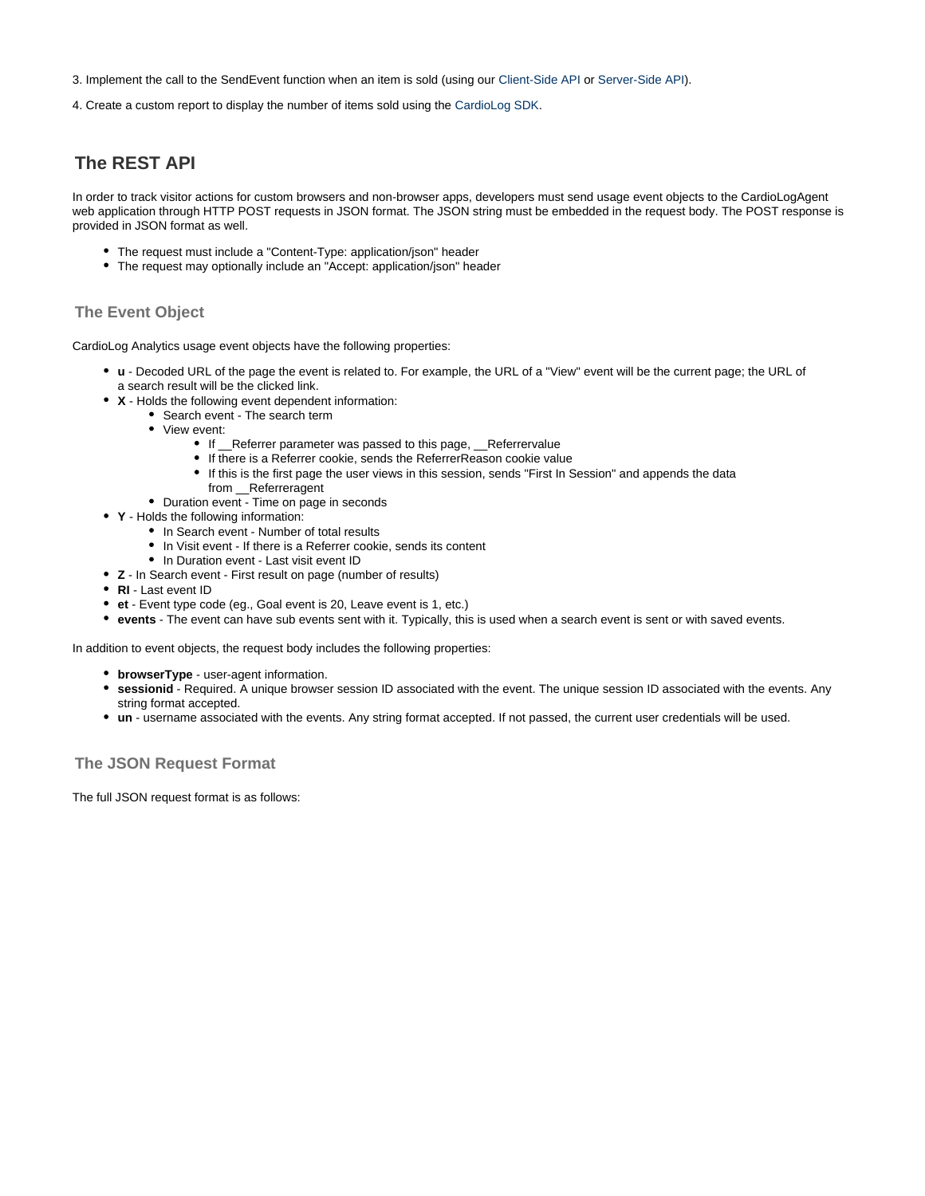3. Implement the call to the SendEvent function when an item is sold (using our [Client-Side API](#page-0-2) or [Server-Side API](#page-4-3)).

4. Create a custom report to display the number of items sold using the [CardioLog SDK.](https://kb.intlock.com/display/Support/The+CardioLog+SDK)

# <span id="page-7-0"></span>**The REST API**

In order to track visitor actions for custom browsers and non-browser apps, developers must send usage event objects to the CardioLogAgent web application through HTTP POST requests in JSON format. The JSON string must be embedded in the request body. The POST response is provided in JSON format as well.

- The request must include a "Content-Type: application/json" header
- The request may optionally include an "Accept: application/json" header

## **The Event Object**

CardioLog Analytics usage event objects have the following properties:

- **u** Decoded URL of the page the event is related to. For example, the URL of a "View" event will be the current page; the URL of a search result will be the clicked link.
- **X** Holds the following event dependent information:
	- Search event The search term
	- View event:
		- If \_\_Referrer parameter was passed to this page, \_\_Referrervalue
		- If there is a Referrer cookie, sends the ReferrerReason cookie value
		- If this is the first page the user views in this session, sends "First In Session" and appends the data from \_\_Referreragent
	- Duration event Time on page in seconds
- **Y** Holds the following information:
	- In Search event Number of total results
	- In Visit event If there is a Referrer cookie, sends its content
	- In Duration event Last visit event ID
- **Z** In Search event First result on page (number of results)
- **RI** Last event ID
- **et** Event type code (eg., Goal event is 20, Leave event is 1, etc.)
- **events** The event can have sub events sent with it. Typically, this is used when a search event is sent or with saved events.

In addition to event objects, the request body includes the following properties:

- **browserType** user-agent information.
- **sessionid** Required. A unique browser session ID associated with the event. The unique session ID associated with the events. Any string format accepted.
- **un** username associated with the events. Any string format accepted. If not passed, the current user credentials will be used.

## **The JSON Request Format**

The full JSON request format is as follows: